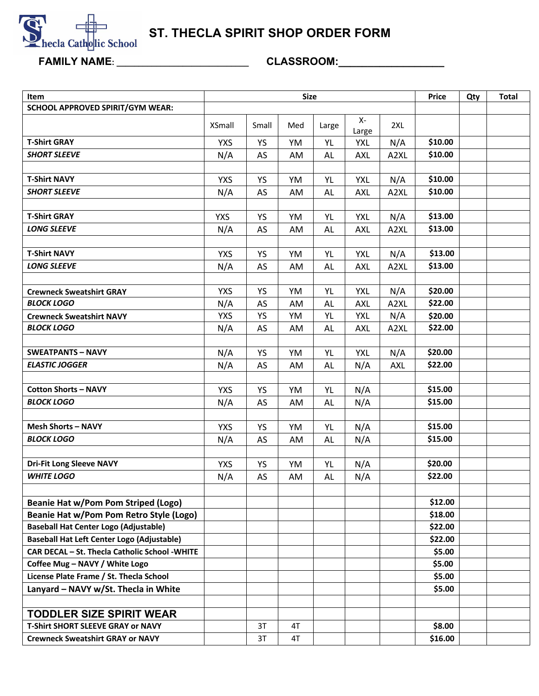

**ST. THECLA SPIRIT SHOP ORDER FORM**

**FAMILY NAME: \_\_\_\_\_\_\_\_\_\_\_\_\_\_\_\_\_\_\_\_\_\_\_\_\_\_\_\_\_\_ CLASSROOM:\_\_\_\_\_\_\_\_\_\_\_\_\_\_\_\_\_\_** 

| Item                                                                                                |               | <b>Size</b> | Price | Qty       | <b>Total</b> |            |                  |  |  |
|-----------------------------------------------------------------------------------------------------|---------------|-------------|-------|-----------|--------------|------------|------------------|--|--|
| <b>SCHOOL APPROVED SPIRIT/GYM WEAR:</b>                                                             |               |             |       |           |              |            |                  |  |  |
|                                                                                                     | <b>XSmall</b> | Small       | Med   | Large     | Х-<br>Large  | 2XL        |                  |  |  |
| <b>T-Shirt GRAY</b>                                                                                 | <b>YXS</b>    | <b>YS</b>   | YM    | YL        | <b>YXL</b>   | N/A        | \$10.00          |  |  |
| <b>SHORT SLEEVE</b>                                                                                 | N/A           | AS          | AM    | AL        | <b>AXL</b>   | A2XL       | \$10.00          |  |  |
|                                                                                                     |               |             |       |           |              |            |                  |  |  |
| <b>T-Shirt NAVY</b>                                                                                 | <b>YXS</b>    | <b>YS</b>   | YM    | YL        | <b>YXL</b>   | N/A        | \$10.00          |  |  |
| <b>SHORT SLEEVE</b>                                                                                 | N/A           | AS          | AM    | AL        | <b>AXL</b>   | A2XL       | \$10.00          |  |  |
|                                                                                                     |               |             |       |           |              |            |                  |  |  |
| <b>T-Shirt GRAY</b>                                                                                 | <b>YXS</b>    | <b>YS</b>   | YM    | YL        | <b>YXL</b>   | N/A        | \$13.00          |  |  |
| <b>LONG SLEEVE</b>                                                                                  | N/A           | AS          | AM    | AL        | <b>AXL</b>   | A2XL       | \$13.00          |  |  |
|                                                                                                     |               |             |       |           |              |            |                  |  |  |
| <b>T-Shirt NAVY</b>                                                                                 | <b>YXS</b>    | YS          | YM    | YL        | <b>YXL</b>   | N/A        | \$13.00          |  |  |
| <b>LONG SLEEVE</b>                                                                                  | N/A           | AS          | AM    | AL        | <b>AXL</b>   | A2XL       | \$13.00          |  |  |
|                                                                                                     |               |             |       |           |              |            |                  |  |  |
| <b>Crewneck Sweatshirt GRAY</b>                                                                     | <b>YXS</b>    | <b>YS</b>   | YM    | YL        | <b>YXL</b>   | N/A        | \$20.00          |  |  |
| <b>BLOCK LOGO</b>                                                                                   | N/A           | AS          | AM    | <b>AL</b> | <b>AXL</b>   | A2XL       | \$22.00          |  |  |
| <b>Crewneck Sweatshirt NAVY</b>                                                                     | <b>YXS</b>    | <b>YS</b>   | YM    | YL        | <b>YXL</b>   | N/A        | \$20.00          |  |  |
| <b>BLOCK LOGO</b>                                                                                   | N/A           | AS          | AM    | AL        | <b>AXL</b>   | A2XL       | \$22.00          |  |  |
|                                                                                                     |               |             |       |           |              |            |                  |  |  |
| <b>SWEATPANTS - NAVY</b>                                                                            | N/A           | YS          | YM    | YL        | <b>YXL</b>   | N/A        | \$20.00          |  |  |
| <b>ELASTIC JOGGER</b>                                                                               | N/A           | AS          | AM    | AL        | N/A          | <b>AXL</b> | \$22.00          |  |  |
|                                                                                                     |               |             |       |           |              |            |                  |  |  |
| <b>Cotton Shorts - NAVY</b>                                                                         | <b>YXS</b>    | YS          | YM    | YL        | N/A          |            | \$15.00          |  |  |
| <b>BLOCK LOGO</b>                                                                                   | N/A           | AS          | AM    | AL        | N/A          |            | \$15.00          |  |  |
|                                                                                                     |               |             |       |           |              |            |                  |  |  |
| <b>Mesh Shorts - NAVY</b>                                                                           | <b>YXS</b>    | <b>YS</b>   | YM    | YL        | N/A          |            | \$15.00          |  |  |
| <b>BLOCK LOGO</b>                                                                                   | N/A           | AS          | AM    | AL.       | N/A          |            | \$15.00          |  |  |
|                                                                                                     |               |             |       |           |              |            |                  |  |  |
| <b>Dri-Fit Long Sleeve NAVY</b>                                                                     | <b>YXS</b>    | <b>YS</b>   | YM    | YL        | N/A          |            | \$20.00          |  |  |
| <b>WHITE LOGO</b>                                                                                   | N/A           | AS          | AM    | AL        | N/A          |            | \$22.00          |  |  |
|                                                                                                     |               |             |       |           |              |            |                  |  |  |
| <b>Beanie Hat w/Pom Pom Striped (Logo)</b>                                                          |               |             |       |           |              |            | \$12.00          |  |  |
| Beanie Hat w/Pom Pom Retro Style (Logo)                                                             |               |             |       |           |              |            | \$18.00          |  |  |
| <b>Baseball Hat Center Logo (Adjustable)</b>                                                        |               |             |       |           |              |            | \$22.00          |  |  |
| <b>Baseball Hat Left Center Logo (Adjustable)</b><br>CAR DECAL - St. Thecla Catholic School - WHITE |               |             |       |           |              |            | \$22.00          |  |  |
| Coffee Mug - NAVY / White Logo                                                                      |               |             |       |           |              |            | \$5.00           |  |  |
| License Plate Frame / St. Thecla School                                                             |               |             |       |           |              |            | \$5.00<br>\$5.00 |  |  |
|                                                                                                     |               |             |       |           |              |            | \$5.00           |  |  |
| Lanyard - NAVY w/St. Thecla in White                                                                |               |             |       |           |              |            |                  |  |  |
|                                                                                                     |               |             |       |           |              |            |                  |  |  |
| <b>TODDLER SIZE SPIRIT WEAR</b><br><b>T-Shirt SHORT SLEEVE GRAY or NAVY</b>                         |               | 3T          | 4T    |           |              |            | \$8.00           |  |  |
| <b>Crewneck Sweatshirt GRAY or NAVY</b>                                                             |               |             |       |           |              |            |                  |  |  |
|                                                                                                     |               | 3T          | 4T    |           |              |            | \$16.00          |  |  |